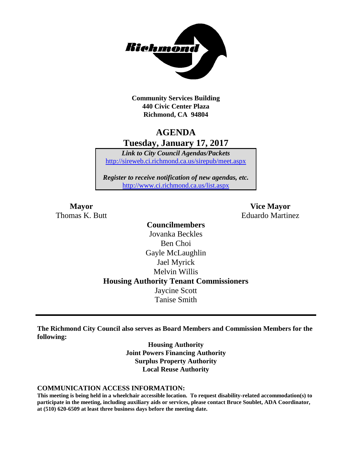

**Community Services Building 440 Civic Center Plaza Richmond, CA 94804**

# **AGENDA Tuesday, January 17, 2017**

*Link to City Council Agendas/Packets* <http://sireweb.ci.richmond.ca.us/sirepub/meet.aspx>

*Register to receive notification of new agendas, etc.* <http://www.ci.richmond.ca.us/list.aspx>

**Mayor Vice Mayor** Thomas K. Butt **Eduardo Martinez** 

> **Councilmembers** Jovanka Beckles Ben Choi Gayle McLaughlin Jael Myrick Melvin Willis **Housing Authority Tenant Commissioners** Jaycine Scott Tanise Smith

**The Richmond City Council also serves as Board Members and Commission Members for the following:**

> **Housing Authority Joint Powers Financing Authority Surplus Property Authority Local Reuse Authority**

#### **COMMUNICATION ACCESS INFORMATION:**

**This meeting is being held in a wheelchair accessible location. To request disability-related accommodation(s) to participate in the meeting, including auxiliary aids or services, please contact Bruce Soublet, ADA Coordinator, at (510) 620-6509 at least three business days before the meeting date.**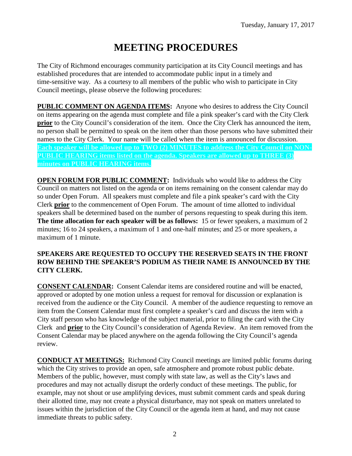# **MEETING PROCEDURES**

The City of Richmond encourages community participation at its City Council meetings and has established procedures that are intended to accommodate public input in a timely and time-sensitive way. As a courtesy to all members of the public who wish to participate in City Council meetings, please observe the following procedures:

**PUBLIC COMMENT ON AGENDA ITEMS:** Anyone who desires to address the City Council on items appearing on the agenda must complete and file a pink speaker's card with the City Clerk **prior** to the City Council's consideration of the item. Once the City Clerk has announced the item, no person shall be permitted to speak on the item other than those persons who have submitted their names to the City Clerk. Your name will be called when the item is announced for discussion. **Each speaker will be allowed up to TWO (2) MINUTES to address the City Council on NON-PUBLIC HEARING items listed on the agenda. Speakers are allowed up to THREE (3) minutes on PUBLIC HEARING items.**

**OPEN FORUM FOR PUBLIC COMMENT:** Individuals who would like to address the City Council on matters not listed on the agenda or on items remaining on the consent calendar may do so under Open Forum. All speakers must complete and file a pink speaker's card with the City Clerk **prior** to the commencement of Open Forum. The amount of time allotted to individual speakers shall be determined based on the number of persons requesting to speak during this item. **The time allocation for each speaker will be as follows:** 15 or fewer speakers, a maximum of 2 minutes; 16 to 24 speakers, a maximum of 1 and one-half minutes; and 25 or more speakers, a maximum of 1 minute.

#### **SPEAKERS ARE REQUESTED TO OCCUPY THE RESERVED SEATS IN THE FRONT ROW BEHIND THE SPEAKER'S PODIUM AS THEIR NAME IS ANNOUNCED BY THE CITY CLERK.**

**CONSENT CALENDAR:** Consent Calendar items are considered routine and will be enacted, approved or adopted by one motion unless a request for removal for discussion or explanation is received from the audience or the City Council. A member of the audience requesting to remove an item from the Consent Calendar must first complete a speaker's card and discuss the item with a City staff person who has knowledge of the subject material, prior to filing the card with the City Clerk and **prior** to the City Council's consideration of Agenda Review. An item removed from the Consent Calendar may be placed anywhere on the agenda following the City Council's agenda review.

**CONDUCT AT MEETINGS:** Richmond City Council meetings are limited public forums during which the City strives to provide an open, safe atmosphere and promote robust public debate. Members of the public, however, must comply with state law, as well as the City's laws and procedures and may not actually disrupt the orderly conduct of these meetings. The public, for example, may not shout or use amplifying devices, must submit comment cards and speak during their allotted time, may not create a physical disturbance, may not speak on matters unrelated to issues within the jurisdiction of the City Council or the agenda item at hand, and may not cause immediate threats to public safety.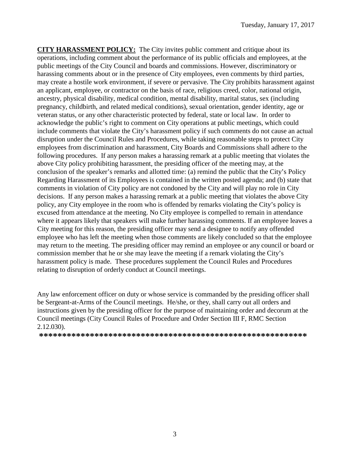**CITY HARASSMENT POLICY:** The City invites public comment and critique about its operations, including comment about the performance of its public officials and employees, at the public meetings of the City Council and boards and commissions. However, discriminatory or harassing comments about or in the presence of City employees, even comments by third parties, may create a hostile work environment, if severe or pervasive. The City prohibits harassment against an applicant, employee, or contractor on the basis of race, religious creed, color, national origin, ancestry, physical disability, medical condition, mental disability, marital status, sex (including pregnancy, childbirth, and related medical conditions), sexual orientation, gender identity, age or veteran status, or any other characteristic protected by federal, state or local law. In order to acknowledge the public's right to comment on City operations at public meetings, which could include comments that violate the City's harassment policy if such comments do not cause an actual disruption under the Council Rules and Procedures, while taking reasonable steps to protect City employees from discrimination and harassment, City Boards and Commissions shall adhere to the following procedures. If any person makes a harassing remark at a public meeting that violates the above City policy prohibiting harassment, the presiding officer of the meeting may, at the conclusion of the speaker's remarks and allotted time: (a) remind the public that the City's Policy Regarding Harassment of its Employees is contained in the written posted agenda; and (b) state that comments in violation of City policy are not condoned by the City and will play no role in City decisions. If any person makes a harassing remark at a public meeting that violates the above City policy, any City employee in the room who is offended by remarks violating the City's policy is excused from attendance at the meeting. No City employee is compelled to remain in attendance where it appears likely that speakers will make further harassing comments. If an employee leaves a City meeting for this reason, the presiding officer may send a designee to notify any offended employee who has left the meeting when those comments are likely concluded so that the employee may return to the meeting. The presiding officer may remind an employee or any council or board or commission member that he or she may leave the meeting if a remark violating the City's harassment policy is made. These procedures supplement the Council Rules and Procedures relating to disruption of orderly conduct at Council meetings.

Any law enforcement officer on duty or whose service is commanded by the presiding officer shall be Sergeant-at-Arms of the Council meetings. He/she, or they, shall carry out all orders and instructions given by the presiding officer for the purpose of maintaining order and decorum at the Council meetings (City Council Rules of Procedure and Order Section III F, RMC Section 2.12.030).

**\*\*\*\*\*\*\*\*\*\*\*\*\*\*\*\*\*\*\*\*\*\*\*\*\*\*\*\*\*\*\*\*\*\*\*\*\*\*\*\*\*\*\*\*\*\*\*\*\*\*\*\*\*\*\*\*\*\***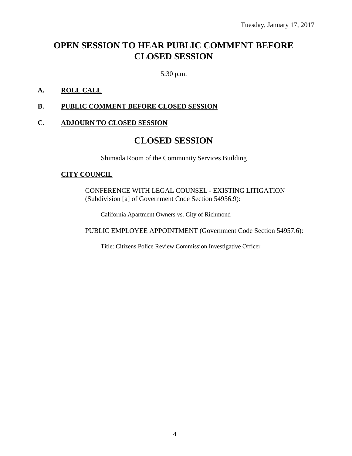# **OPEN SESSION TO HEAR PUBLIC COMMENT BEFORE CLOSED SESSION**

5:30 p.m.

#### **A. ROLL CALL**

#### **B. PUBLIC COMMENT BEFORE CLOSED SESSION**

#### **C. ADJOURN TO CLOSED SESSION**

### **CLOSED SESSION**

Shimada Room of the Community Services Building

#### **CITY COUNCIL**

CONFERENCE WITH LEGAL COUNSEL - EXISTING LITIGATION (Subdivision [a] of Government Code Section 54956.9):

California Apartment Owners vs. City of Richmond

PUBLIC EMPLOYEE APPOINTMENT (Government Code Section 54957.6):

Title: Citizens Police Review Commission Investigative Officer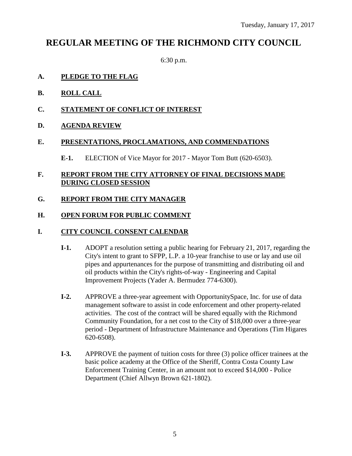## **REGULAR MEETING OF THE RICHMOND CITY COUNCIL**

6:30 p.m.

#### **A. PLEDGE TO THE FLAG**

- **B. ROLL CALL**
- **C. STATEMENT OF CONFLICT OF INTEREST**

#### **D. AGENDA REVIEW**

#### **E. PRESENTATIONS, PROCLAMATIONS, AND COMMENDATIONS**

**E-1.** ELECTION of Vice Mayor for 2017 - Mayor Tom Butt (620-6503).

#### **F. REPORT FROM THE CITY ATTORNEY OF FINAL DECISIONS MADE DURING CLOSED SESSION**

#### **G. REPORT FROM THE CITY MANAGER**

#### **H. OPEN FORUM FOR PUBLIC COMMENT**

#### **I. CITY COUNCIL CONSENT CALENDAR**

- **I-1.** ADOPT a resolution setting a public hearing for February 21, 2017, regarding the City's intent to grant to SFPP, L.P. a 10-year franchise to use or lay and use oil pipes and appurtenances for the purpose of transmitting and distributing oil and oil products within the City's rights-of-way - Engineering and Capital Improvement Projects (Yader A. Bermudez 774-6300).
- **I-2.** APPROVE a three-year agreement with OpportunitySpace, Inc. for use of data management software to assist in code enforcement and other property-related activities. The cost of the contract will be shared equally with the Richmond Community Foundation, for a net cost to the City of \$18,000 over a three-year period - Department of Infrastructure Maintenance and Operations (Tim Higares 620-6508).
- **I-3.** APPROVE the payment of tuition costs for three (3) police officer trainees at the basic police academy at the Office of the Sheriff, Contra Costa County Law Enforcement Training Center, in an amount not to exceed \$14,000 - Police Department (Chief Allwyn Brown 621-1802).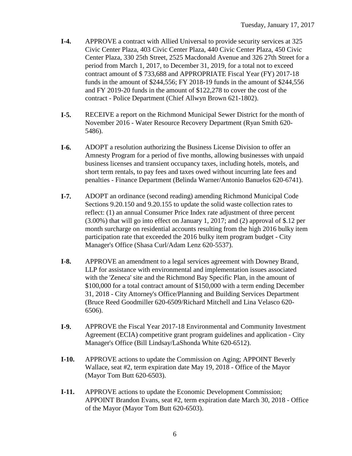- **I-4.** APPROVE a contract with Allied Universal to provide security services at 325 Civic Center Plaza, 403 Civic Center Plaza, 440 Civic Center Plaza, 450 Civic Center Plaza, 330 25th Street, 2525 Macdonald Avenue and 326 27th Street for a period from March 1, 2017, to December 31, 2019, for a total not to exceed contract amount of \$ 733,688 and APPROPRIATE Fiscal Year (FY) 2017-18 funds in the amount of \$244,556; FY 2018-19 funds in the amount of \$244,556 and FY 2019-20 funds in the amount of \$122,278 to cover the cost of the contract - Police Department (Chief Allwyn Brown 621-1802).
- **I-5.** RECEIVE a report on the Richmond Municipal Sewer District for the month of November 2016 - Water Resource Recovery Department (Ryan Smith 620- 5486).
- **I-6.** ADOPT a resolution authorizing the Business License Division to offer an Amnesty Program for a period of five months, allowing businesses with unpaid business licenses and transient occupancy taxes, including hotels, motels, and short term rentals, to pay fees and taxes owed without incurring late fees and penalties - Finance Department (Belinda Warner/Antonio Banuelos 620-6741).
- **I-7.** ADOPT an ordinance (second reading) amending Richmond Municipal Code Sections 9.20.150 and 9.20.155 to update the solid waste collection rates to reflect: (1) an annual Consumer Price Index rate adjustment of three percent (3.00%) that will go into effect on January 1, 2017; and (2) approval of \$.12 per month surcharge on residential accounts resulting from the high 2016 bulky item participation rate that exceeded the 2016 bulky item program budget - City Manager's Office (Shasa Curl/Adam Lenz 620-5537).
- **I-8.** APPROVE an amendment to a legal services agreement with Downey Brand, LLP for assistance with environmental and implementation issues associated with the 'Zeneca' site and the Richmond Bay Specific Plan, in the amount of \$100,000 for a total contract amount of \$150,000 with a term ending December 31, 2018 - City Attorney's Office/Planning and Building Services Department (Bruce Reed Goodmiller 620-6509/Richard Mitchell and Lina Velasco 620- 6506).
- **I-9.** APPROVE the Fiscal Year 2017-18 Environmental and Community Investment Agreement (ECIA) competitive grant program guidelines and application - City Manager's Office (Bill Lindsay/LaShonda White 620-6512).
- **I-10.** APPROVE actions to update the Commission on Aging; APPOINT Beverly Wallace, seat #2, term expiration date May 19, 2018 - Office of the Mayor (Mayor Tom Butt 620-6503).
- **I-11.** APPROVE actions to update the Economic Development Commission; APPOINT Brandon Evans, seat #2, term expiration date March 30, 2018 - Office of the Mayor (Mayor Tom Butt 620-6503).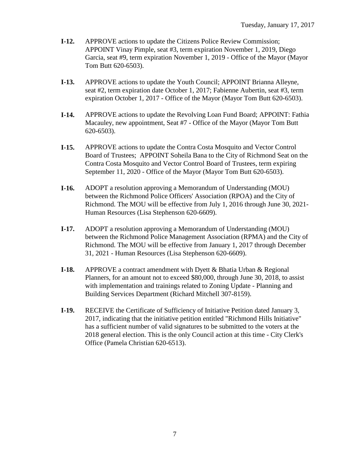- **I-12.** APPROVE actions to update the Citizens Police Review Commission; APPOINT Vinay Pimple, seat #3, term expiration November 1, 2019, Diego Garcia, seat #9, term expiration November 1, 2019 - Office of the Mayor (Mayor Tom Butt 620-6503).
- **I-13.** APPROVE actions to update the Youth Council; APPOINT Brianna Alleyne, seat #2, term expiration date October 1, 2017; Fabienne Aubertin, seat #3, term expiration October 1, 2017 - Office of the Mayor (Mayor Tom Butt 620-6503).
- **I-14.** APPROVE actions to update the Revolving Loan Fund Board; APPOINT: Fathia Macauley, new appointment, Seat #7 - Office of the Mayor (Mayor Tom Butt 620-6503).
- **I-15.** APPROVE actions to update the Contra Costa Mosquito and Vector Control Board of Trustees; APPOINT Soheila Bana to the City of Richmond Seat on the Contra Costa Mosquito and Vector Control Board of Trustees, term expiring September 11, 2020 - Office of the Mayor (Mayor Tom Butt 620-6503).
- **I-16.** ADOPT a resolution approving a Memorandum of Understanding (MOU) between the Richmond Police Officers' Association (RPOA) and the City of Richmond. The MOU will be effective from July 1, 2016 through June 30, 2021- Human Resources (Lisa Stephenson 620-6609).
- **I-17.** ADOPT a resolution approving a Memorandum of Understanding (MOU) between the Richmond Police Management Association (RPMA) and the City of Richmond. The MOU will be effective from January 1, 2017 through December 31, 2021 - Human Resources (Lisa Stephenson 620-6609).
- **I-18.** APPROVE a contract amendment with Dyett & Bhatia Urban & Regional Planners, for an amount not to exceed \$80,000, through June 30, 2018, to assist with implementation and trainings related to Zoning Update - Planning and Building Services Department (Richard Mitchell 307-8159).
- **I-19.** RECEIVE the Certificate of Sufficiency of Initiative Petition dated January 3, 2017, indicating that the initiative petition entitled "Richmond Hills Initiative" has a sufficient number of valid signatures to be submitted to the voters at the 2018 general election. This is the only Council action at this time - City Clerk's Office (Pamela Christian 620-6513).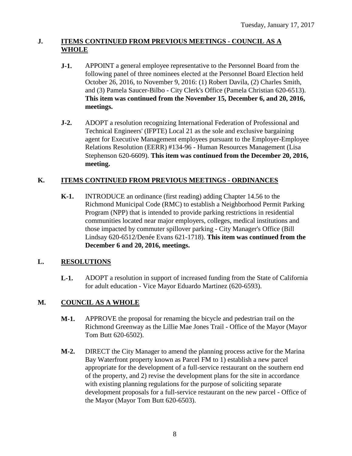#### **J. ITEMS CONTINUED FROM PREVIOUS MEETINGS - COUNCIL AS A WHOLE**

- **J-1.** APPOINT a general employee representative to the Personnel Board from the following panel of three nominees elected at the Personnel Board Election held October 26, 2016, to November 9, 2016: (1) Robert Davila, (2) Charles Smith, and (3) Pamela Saucer-Bilbo - City Clerk's Office (Pamela Christian 620-6513). **This item was continued from the November 15, December 6, and 20, 2016, meetings.**
- **J-2.** ADOPT a resolution recognizing International Federation of Professional and Technical Engineers' (IFPTE) Local 21 as the sole and exclusive bargaining agent for Executive Management employees pursuant to the Employer-Employee Relations Resolution (EERR) #134-96 - Human Resources Management (Lisa Stephenson 620-6609). **This item was continued from the December 20, 2016, meeting.**

### **K. ITEMS CONTINUED FROM PREVIOUS MEETINGS - ORDINANCES**

**K-1.** INTRODUCE an ordinance (first reading) adding Chapter 14.56 to the Richmond Municipal Code (RMC) to establish a Neighborhood Permit Parking Program (NPP) that is intended to provide parking restrictions in residential communities located near major employers, colleges, medical institutions and those impacted by commuter spillover parking - City Manager's Office (Bill Lindsay 620-6512/Denée Evans 621-1718). **This item was continued from the December 6 and 20, 2016, meetings.**

#### **L. RESOLUTIONS**

**L-1.** ADOPT a resolution in support of increased funding from the State of California for adult education - Vice Mayor Eduardo Martinez (620-6593).

### **M. COUNCIL AS A WHOLE**

- **M-1.** APPROVE the proposal for renaming the bicycle and pedestrian trail on the Richmond Greenway as the Lillie Mae Jones Trail - Office of the Mayor (Mayor Tom Butt 620-6502).
- **M-2.** DIRECT the City Manager to amend the planning process active for the Marina Bay Waterfront property known as Parcel FM to 1) establish a new parcel appropriate for the development of a full-service restaurant on the southern end of the property, and 2) revise the development plans for the site in accordance with existing planning regulations for the purpose of soliciting separate development proposals for a full-service restaurant on the new parcel - Office of the Mayor (Mayor Tom Butt 620-6503).